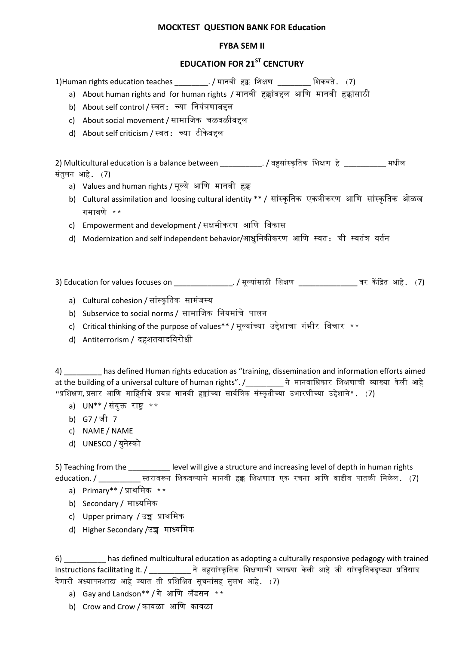## **MOCKTEST QUESTION BANK FOR Education**

## **FYBA SEM II**

## **EDUCATION FOR 21ST CENCTURY**

1)Human rights education teaches \_\_\_\_\_\_\_\_. / मानवी हक्क शिक्षण \_\_\_\_\_\_\_\_ शिकवते. (7)

- a) About human rights and for human rights / मानवी हक्कांबद्दल आणि मानवी हक्कांसाठी
- b) About self control / स्वत: च्या शनयांत्रणाबद्दल
- c) About social movement / सामाशिक चळवळीबद्दल
- d) About self criticism / स्वत: च्या टीके बद्दल

2) Multicultural education is a balance between \_\_\_\_\_\_\_\_\_\_. / बहुसाांस्कृ शतक शिक्षण हे \_\_\_\_\_\_\_\_\_\_ मधील सांतुलन आहे. (7)

- a) Values and human rights / मूल्ये आशण मानवी हक्क
- b) Cultural assimilation and loosing cultural identity \*\* / सांस्कृतिक एकत्रीकरण आणि सांस्कृतिक ओळख गमावणे \*\*
- c) Empowerment and development / सक्षमीकरण आशण शवकास
- d) Modernization and self independent behavior/आधुनिकीकरण आणि स्वत: ची स्वतंत्र वर्तन

3) Education for values focuses on \_\_\_\_\_\_\_\_\_\_\_\_\_\_. / मूल्याांसाठी शिक्षण \_\_\_\_\_\_\_\_\_\_\_\_\_\_ वर कें द्रित आहे. (7)

- a) Cultural cohesion / सांस्कृतिक सामंजस्य
- b) Subservice to social norms / सामाशिक शनयमाांचे पालन
- c) Critical thinking of the purpose of values\*\* / मूल्यांच्या उद्देशाचा गंभीर विचार \*\*
- d) Antiterrorism / दहितवादशवरोधी

4) has defined Human rights education as "training, dissemination and information efforts aimed at the building of a universal culture of human rights". /\_\_\_\_\_\_\_\_\_ ने मानवाशधकार शिक्षणाची व्याख्या के ली आहे "प्रशिक्षण, प्रसार आणि माहितीचे प्रयत्न मानवी हक्कांच्या सार्वत्रिक संस्कृतीच्या उभारणीच्या उद्देशाने". (7)

- a) UN\*\* / संयुक्त राष्ट्र  $**$
- b) G7 / िी 7
- c) NAME / NAME
- d) UNESCO / युनेस्को

5) Teaching from the **Langel 20 Lievel will give a structure and increasing level of depth in human rights** education. / \_\_\_\_\_\_\_\_\_\_ स्तरावरून शिकवल्याने मानवी हक्क शिक्षणात एक रचना आशण वाढीव पातळी शमळेल. (7)

- a) Primary\*\* / प्राथशमक \*\*
- b) Secondary / माध्यशमक
- c) Upper primary / उच्च प्राथशमक
- d) Higher Secondary /उच्च माध्यशमक

6) \_\_\_\_\_\_\_\_\_\_ has defined multicultural education as adopting a culturally responsive pedagogy with trained instructions facilitating it. / \_\_\_\_\_\_\_\_\_\_\_ ने बहुसांस्कृतिक शिक्षणाची व्याख्या केली आहे जी सांस्कृतिकदृष्ट्या प्रतिसाद देणारी अध्यापनशास्त्र आहे ज्यात ती प्रशिक्षित सूचनांसह सुलभ आहे. (7)

- a) Gay and Landson\*\* / गे आशण लँडसन \*\*
- b) Crow and Crow / कावळा आशण कावळा